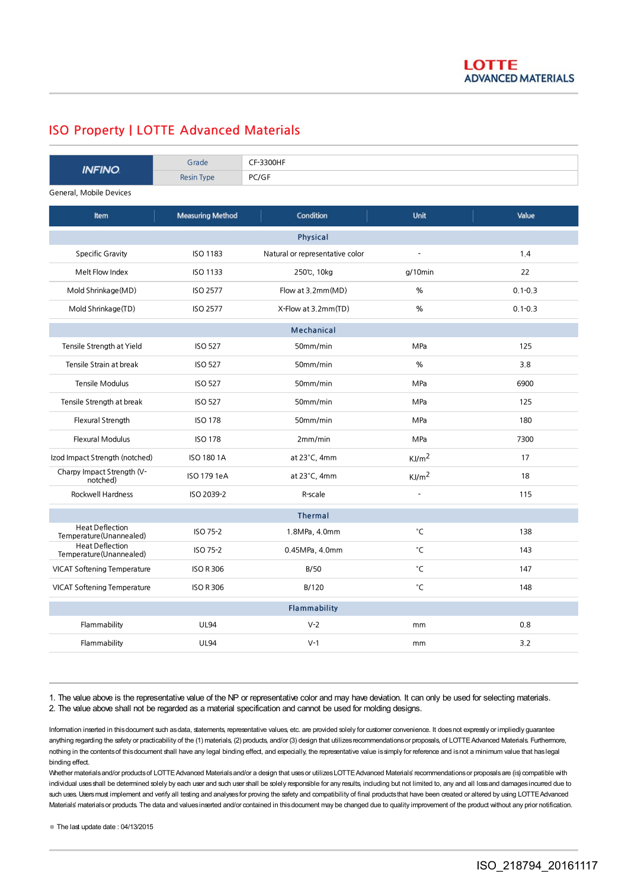## ISO Property | LOTTE Advanced Materials

| <b>INFINO</b>                                      | Grade                   | CF-3300HF                       |                     |             |
|----------------------------------------------------|-------------------------|---------------------------------|---------------------|-------------|
|                                                    | <b>Resin Type</b>       | PC/GF                           |                     |             |
| General, Mobile Devices                            |                         |                                 |                     |             |
| Item                                               | <b>Measuring Method</b> | Condition                       | <b>Unit</b>         | Value       |
| <b>Physical</b>                                    |                         |                                 |                     |             |
| <b>Specific Gravity</b>                            | ISO 1183                | Natural or representative color | $\overline{a}$      | 1.4         |
| Melt Flow Index                                    | <b>ISO 1133</b>         | 250℃, 10kg                      | $g/10$ min          | 22          |
| Mold Shrinkage (MD)                                | <b>ISO 2577</b>         | Flow at 3.2mm(MD)               | %                   | $0.1 - 0.3$ |
| Mold Shrinkage(TD)                                 | <b>ISO 2577</b>         | X-Flow at 3.2mm(TD)             | %                   | $0.1 - 0.3$ |
| <b>Mechanical</b>                                  |                         |                                 |                     |             |
| Tensile Strength at Yield                          | <b>ISO 527</b>          | 50mm/min                        | MPa                 | 125         |
| Tensile Strain at break                            | <b>ISO 527</b>          | 50mm/min                        | %                   | 3.8         |
| Tensile Modulus                                    | <b>ISO 527</b>          | 50mm/min                        | MPa                 | 6900        |
| Tensile Strength at break                          | <b>ISO 527</b>          | 50mm/min                        | MPa                 | 125         |
| Flexural Strength                                  | <b>ISO 178</b>          | 50mm/min                        | MPa                 | 180         |
| <b>Flexural Modulus</b>                            | <b>ISO 178</b>          | 2mm/min                         | MPa                 | 7300        |
| Izod Impact Strength (notched)                     | ISO 180 1A              | at $23^{\circ}$ C, 4mm          | KJ/m <sup>2</sup>   | 17          |
| Charpy Impact Strength (V-<br>notched)             | ISO 179 1eA             | at 23°C, 4mm                    | KJ/m <sup>2</sup>   | 18          |
| <b>Rockwell Hardness</b>                           | ISO 2039-2              | R-scale                         |                     | 115         |
| <b>Thermal</b>                                     |                         |                                 |                     |             |
| <b>Heat Deflection</b><br>Temperature (Unannealed) | ISO 75-2                | 1.8MPa, 4.0mm                   | $^\circ \mathsf{C}$ | 138         |
| <b>Heat Deflection</b><br>Temperature (Unannealed) | ISO 75-2                | 0.45MPa, 4.0mm                  | °C                  | 143         |
| <b>VICAT Softening Temperature</b>                 | <b>ISO R 306</b>        | B/50                            | °C                  | 147         |
| <b>VICAT Softening Temperature</b>                 | <b>ISO R 306</b>        | B/120                           | °C                  | 148         |
| <b>Flammability</b>                                |                         |                                 |                     |             |
| Flammability                                       | <b>UL94</b>             | $V-2$                           | mm                  | 0,8         |
| Flammability                                       | <b>UL94</b>             | $V-1$                           | mm                  | 3.2         |

1. The value above is the representative value of the NP or representative color and may have deviation. It can only be used for selecting materials. 2. The value above shall not be regarded as a material specification and cannot be used for molding designs.

Information inserted in this document such as data, statements, representative values, etc. are provided solely for customer convenience. It does not expressly or impliedly guarantee anything regarding the safety or practicability of the (1) materials, (2) products, and/or (3) design that utilizes recommendations or proposals, of LOTTE Advanced Materials. Furthermore, nothing in the contentsof thisdocument shall have any legal binding effect, and especially, the representative value issimply for reference and isnot a minimum value that haslegal binding effect.

Whether materials and/or products of LOTTE Advanced Materials and/or a design that uses or utilizes LOTTE Advanced Materials' recommendations or proposals are (is) compatible with individual uses shall be determined solely by each user and such user shall be solely responsible for any results, including but not limited to, any and all loss and damages incurred due to such uses. Users must implement and verify all testing and analyses for proving the safety and compatibility of final products that have been created or altered by using LOTTE Advanced Materials' materials or products. The data and values inserted and/or contained in this document may be changed due to quality improvement of the product without any prior notification.

※ The last update date : 04/13/2015